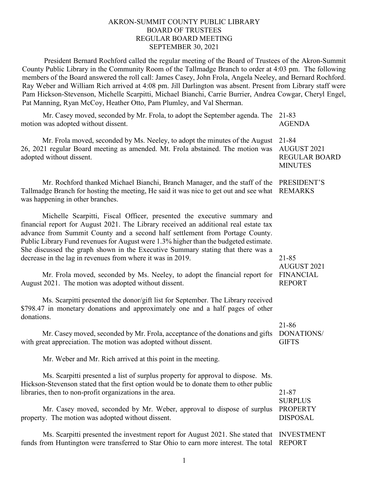### AKRON-SUMMIT COUNTY PUBLIC LIBRARY BOARD OF TRUSTEES REGULAR BOARD MEETING SEPTEMBER 30, 2021

President Bernard Rochford called the regular meeting of the Board of Trustees of the Akron-Summit County Public Library in the Community Room of the Tallmadge Branch to order at 4:03 pm. The following members of the Board answered the roll call: James Casey, John Frola, Angela Neeley, and Bernard Rochford. Ray Weber and William Rich arrived at 4:08 pm. Jill Darlington was absent. Present from Library staff were Pam Hickson-Stevenson, Michelle Scarpitti, Michael Bianchi, Carrie Burrier, Andrea Cowgar, Cheryl Engel, Pat Manning, Ryan McCoy, Heather Otto, Pam Plumley, and Val Sherman.

Mr. Casey moved, seconded by Mr. Frola, to adopt the September agenda. The 21-83 motion was adopted without dissent.

Mr. Frola moved, seconded by Ms. Neeley, to adopt the minutes of the August 26, 2021 regular Board meeting as amended. Mt. Frola abstained. The motion was adopted without dissent.

Mr. Rochford thanked Michael Bianchi, Branch Manager, and the staff of the PRESIDENT'S Tallmadge Branch for hosting the meeting, He said it was nice to get out and see what REMARKS was happening in other branches.

Michelle Scarpitti, Fiscal Officer, presented the executive summary and financial report for August 2021. The Library received an additional real estate tax advance from Summit County and a second half settlement from Portage County. Public Library Fund revenues for August were 1.3% higher than the budgeted estimate. She discussed the graph shown in the Executive Summary stating that there was a decrease in the lag in revenues from where it was in 2019.

Mr. Frola moved, seconded by Ms. Neeley, to adopt the financial report for FINANCIAL August 2021. The motion was adopted without dissent.

Ms. Scarpitti presented the donor/gift list for September. The Library received \$798.47 in monetary donations and approximately one and a half pages of other donations.

Mr. Casey moved, seconded by Mr. Frola, acceptance of the donations and gifts DONATIONS/ with great appreciation. The motion was adopted without dissent.

Mr. Weber and Mr. Rich arrived at this point in the meeting.

Ms. Scarpitti presented a list of surplus property for approval to dispose. Ms. Hickson-Stevenson stated that the first option would be to donate them to other public libraries, then to non-profit organizations in the area.

Mr. Casey moved, seconded by Mr. Weber, approval to dispose of surplus PROPERTY property. The motion was adopted without dissent.

Ms. Scarpitti presented the investment report for August 2021. She stated that INVESTMENT funds from Huntington were transferred to Star Ohio to earn more interest. The total REPORT

AGENDA

21-84 AUGUST 2021 REGULAR BOARD **MINUTES** 

21-85 AUGUST 2021 REPORT

21-86 **GIFTS** 

21-87 **SURPLUS** DISPOSAL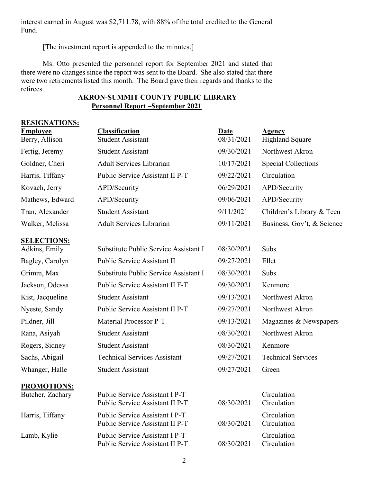interest earned in August was \$2,711.78, with 88% of the total credited to the General Fund.

[The investment report is appended to the minutes.]

Ms. Otto presented the personnel report for September 2021 and stated that there were no changes since the report was sent to the Board. She also stated that there were two retirements listed this month. The Board gave their regards and thanks to the retirees.

# **AKRON-SUMMIT COUNTY PUBLIC LIBRARY Personnel Report –September 2021**

| <b>RESIGNATIONS:</b>                |                                                                   |                    |                                         |  |
|-------------------------------------|-------------------------------------------------------------------|--------------------|-----------------------------------------|--|
| <b>Employee</b><br>Berry, Allison   | <b>Classification</b><br><b>Student Assistant</b>                 | Date<br>08/31/2021 | <b>Agency</b><br><b>Highland Square</b> |  |
| Fertig, Jeremy                      | <b>Student Assistant</b>                                          | 09/30/2021         | Northwest Akron                         |  |
| Goldner, Cheri                      | <b>Adult Services Librarian</b>                                   | 10/17/2021         | <b>Special Collections</b>              |  |
| Harris, Tiffany                     | Public Service Assistant II P-T                                   | 09/22/2021         | Circulation                             |  |
| Kovach, Jerry                       | APD/Security                                                      | 06/29/2021         | APD/Security                            |  |
| Mathews, Edward                     | APD/Security                                                      | 09/06/2021         | APD/Security                            |  |
| Tran, Alexander                     | <b>Student Assistant</b>                                          | 9/11/2021          | Children's Library & Teen               |  |
| Walker, Melissa                     | <b>Adult Services Librarian</b>                                   | 09/11/2021         | Business, Gov't, & Science              |  |
| <b>SELECTIONS:</b><br>Adkins, Emily | Substitute Public Service Assistant I                             | 08/30/2021         | Subs                                    |  |
| Bagley, Carolyn                     | Public Service Assistant II                                       | 09/27/2021         | Ellet                                   |  |
| Grimm, Max                          | Substitute Public Service Assistant I                             | 08/30/2021         | Subs                                    |  |
| Jackson, Odessa                     | Public Service Assistant II F-T                                   | 09/30/2021         | Kenmore                                 |  |
| Kist, Jacqueline                    | <b>Student Assistant</b>                                          | 09/13/2021         | Northwest Akron                         |  |
| Nyeste, Sandy                       | Public Service Assistant II P-T                                   | 09/27/2021         | Northwest Akron                         |  |
| Pildner, Jill                       | Material Processor P-T                                            | 09/13/2021         | Magazines & Newspapers                  |  |
| Rana, Asiyah                        | <b>Student Assistant</b>                                          | 08/30/2021         | Northwest Akron                         |  |
| Rogers, Sidney                      | <b>Student Assistant</b>                                          | 08/30/2021         | Kenmore                                 |  |
| Sachs, Abigail                      | <b>Technical Services Assistant</b>                               | 09/27/2021         | <b>Technical Services</b>               |  |
| Whanger, Halle                      | <b>Student Assistant</b>                                          | 09/27/2021         | Green                                   |  |
| <b>PROMOTIONS:</b>                  |                                                                   |                    |                                         |  |
| Butcher, Zachary                    | Public Service Assistant I P-T<br>Public Service Assistant II P-T | 08/30/2021         | Circulation<br>Circulation              |  |
| Harris, Tiffany                     | Public Service Assistant I P-T<br>Public Service Assistant II P-T | 08/30/2021         | Circulation<br>Circulation              |  |
| Lamb, Kylie                         | Public Service Assistant I P-T<br>Public Service Assistant II P-T | 08/30/2021         | Circulation<br>Circulation              |  |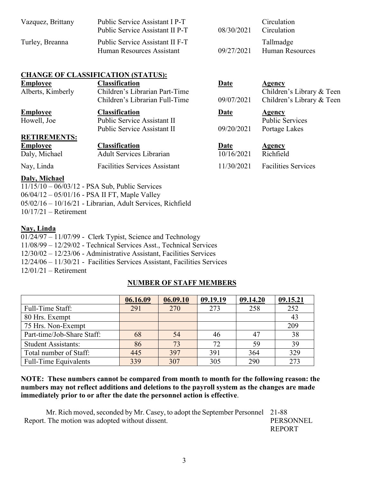| Vazquez, Brittany | Public Service Assistant I P-T<br>Public Service Assistant II P-T | 08/30/2021 | Circulation<br>Circulation          |
|-------------------|-------------------------------------------------------------------|------------|-------------------------------------|
| Turley, Breanna   | Public Service Assistant II F-T<br>Human Resources Assistant      | 09/27/2021 | Tallmadge<br><b>Human Resources</b> |

## **CHANGE OF CLASSIFICATION (STATUS):**

| <b>Employee</b>     | <b>Classification</b>                                            | <b>Date</b> | <b>Agency</b>                                          |
|---------------------|------------------------------------------------------------------|-------------|--------------------------------------------------------|
| Alberts, Kimberly   | Children's Librarian Part-Time<br>Children's Librarian Full-Time | 09/07/2021  | Children's Library & Teen<br>Children's Library & Teen |
| <b>Employee</b>     | <b>Classification</b>                                            | <b>Date</b> | <b>Agency</b>                                          |
| Howell, Joe         | Public Service Assistant II                                      |             | <b>Public Services</b>                                 |
|                     | Public Service Assistant II                                      | 09/20/2021  | Portage Lakes                                          |
| <b>RETIREMENTS:</b> |                                                                  |             |                                                        |
| <b>Employee</b>     | <b>Classification</b>                                            | <u>Date</u> | <b>Agency</b>                                          |
| Daly, Michael       | <b>Adult Services Librarian</b>                                  | 10/16/2021  | Richfield                                              |
| Nay, Linda          | <b>Facilities Services Assistant</b>                             | 11/30/2021  | <b>Facilities Services</b>                             |
| Daly, Michael       |                                                                  |             |                                                        |

11/15/10 – 06/03/12 - PSA Sub, Public Services 06/04/12 – 05/01/16 - PSA II FT, Maple Valley 05/02/16 – 10/16/21 - Librarian, Adult Services, Richfield 10/17/21 – Retirement

### **Nay, Linda**

| $01/24/97 - 11/07/99$ - Clerk Typist, Science and Technology               |
|----------------------------------------------------------------------------|
| $11/08/99 - 12/29/02$ - Technical Services Asst., Technical Services       |
| $12/30/02 - 12/23/06$ - Administrative Assistant, Facilities Services      |
| $12/24/06 - 11/30/21$ - Facilities Services Assistant, Facilities Services |
| $12/01/21$ – Retirement                                                    |

# **NUMBER OF STAFF MEMBERS**

|                              | 06.16.09 | 06.09.10 | 09.19.19 | 09.14.20 | 09.15.21 |
|------------------------------|----------|----------|----------|----------|----------|
| Full-Time Staff:             | 291      | 270      | 273      | 258      | 252      |
| 80 Hrs. Exempt               |          |          |          |          | 43       |
| 75 Hrs. Non-Exempt           |          |          |          |          | 209      |
| Part-time/Job-Share Staff:   | 68       | 54       | 46       |          | 38       |
| <b>Student Assistants:</b>   | 86       | 73       | 72       | 59       | 39       |
| Total number of Staff:       | 445      | 397      | 391      | 364      | 329      |
| <b>Full-Time Equivalents</b> | 339      | 307      | 305      | 290      | 273      |

## **NOTE: These numbers cannot be compared from month to month for the following reason: the numbers may not reflect additions and deletions to the payroll system as the changes are made immediately prior to or after the date the personnel action is effective**.

Mr. Rich moved, seconded by Mr. Casey, to adopt the September Personnel 21-88 Report. The motion was adopted without dissent. PERSONNEL REPORT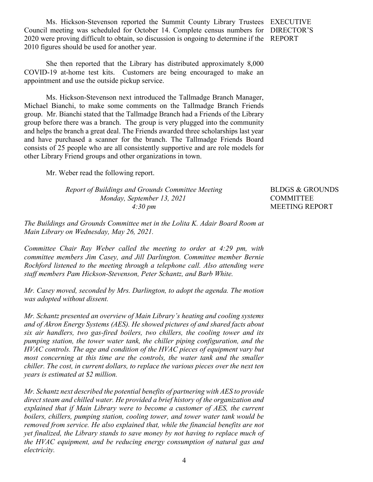Ms. Hickson-Stevenson reported the Summit County Library Trustees EXECUTIVE Council meeting was scheduled for October 14. Complete census numbers for DIRECTOR'S 2020 were proving difficult to obtain, so discussion is ongoing to determine if the REPORT 2010 figures should be used for another year.

She then reported that the Library has distributed approximately 8,000 COVID-19 at-home test kits. Customers are being encouraged to make an appointment and use the outside pickup service.

Ms. Hickson-Stevenson next introduced the Tallmadge Branch Manager, Michael Bianchi, to make some comments on the Tallmadge Branch Friends group. Mr. Bianchi stated that the Tallmadge Branch had a Friends of the Library group before there was a branch. The group is very plugged into the community and helps the branch a great deal. The Friends awarded three scholarships last year and have purchased a scanner for the branch. The Tallmadge Friends Board consists of 25 people who are all consistently supportive and are role models for other Library Friend groups and other organizations in town.

Mr. Weber read the following report.

*Report of Buildings and Grounds Committee Meeting Monday, September 13, 2021 4:30 pm*

BLDGS & GROUNDS COMMITTEE MEETING REPORT

*The Buildings and Grounds Committee met in the Lolita K. Adair Board Room at Main Library on Wednesday, May 26, 2021.* 

*Committee Chair Ray Weber called the meeting to order at 4:29 pm, with committee members Jim Casey, and Jill Darlington. Committee member Bernie Rochford listened to the meeting through a telephone call. Also attending were staff members Pam Hickson-Stevenson, Peter Schantz, and Barb White.* 

*Mr. Casey moved, seconded by Mrs. Darlington, to adopt the agenda. The motion was adopted without dissent.* 

*Mr. Schantz presented an overview of Main Library's heating and cooling systems and of Akron Energy Systems (AES). He showed pictures of and shared facts about six air handlers, two gas-fired boilers, two chillers, the cooling tower and its pumping station, the tower water tank, the chiller piping configuration, and the HVAC controls. The age and condition of the HVAC pieces of equipment vary but most concerning at this time are the controls, the water tank and the smaller chiller. The cost, in current dollars, to replace the various pieces over the next ten years is estimated at \$2 million.*

*Mr. Schantz next described the potential benefits of partnering with AES to provide direct steam and chilled water. He provided a brief history of the organization and explained that if Main Library were to become a customer of AES, the current boilers, chillers, pumping station, cooling tower, and tower water tank would be removed from service. He also explained that, while the financial benefits are not yet finalized, the Library stands to save money by not having to replace much of the HVAC equipment, and be reducing energy consumption of natural gas and electricity.*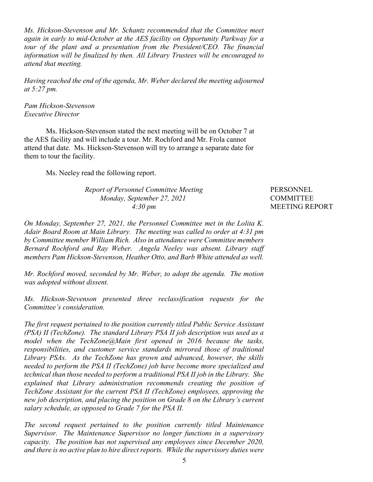*Ms. Hickson-Stevenson and Mr. Schantz recommended that the Committee meet again in early to mid-October at the AES facility on Opportunity Parkway for a tour of the plant and a presentation from the President/CEO. The financial information will be finalized by then. All Library Trustees will be encouraged to attend that meeting.*

*Having reached the end of the agenda, Mr. Weber declared the meeting adjourned at 5:27 pm.*

*Pam Hickson-Stevenson Executive Director*

Ms. Hickson-Stevenson stated the next meeting will be on October 7 at the AES facility and will include a tour. Mr. Rochford and Mr. Frola cannot attend that date. Ms. Hickson-Stevenson will try to arrange a separate date for them to tour the facility.

Ms. Neeley read the following report.

#### *Report of Personnel Committee Meeting Monday, September 27, 2021 4:30 pm*

PERSONNEL **COMMITTEE** MEETING REPORT

*On Monday, September 27, 2021, the Personnel Committee met in the Lolita K. Adair Board Room at Main Library. The meeting was called to order at 4:31 pm by Committee member William Rich. Also in attendance were Committee members Bernard Rochford and Ray Weber. Angela Neeley was absent. Library staff members Pam Hickson-Stevenson, Heather Otto, and Barb White attended as well.*

*Mr. Rochford moved, seconded by Mr. Weber, to adopt the agenda. The motion was adopted without dissent.*

*Ms. Hickson-Stevenson presented three reclassification requests for the Committee's consideration.* 

*The first request pertained to the position currently titled Public Service Assistant (PSA) II (TechZone). The standard Library PSA II job description was used as a model when the TechZone@Main first opened in 2016 because the tasks, responsibilities, and customer service standards mirrored those of traditional Library PSAs. As the TechZone has grown and advanced, however, the skills needed to perform the PSA II (TechZone) job have become more specialized and technical than those needed to perform a traditional PSA II job in the Library. She explained that Library administration recommends creating the position of TechZone Assistant for the current PSA II (TechZone) employees, approving the new job description, and placing the position on Grade 8 on the Library's current salary schedule, as opposed to Grade 7 for the PSA II.*

*The second request pertained to the position currently titled Maintenance Supervisor. The Maintenance Supervisor no longer functions in a supervisory capacity. The position has not supervised any employees since December 2020, and there is no active plan to hire direct reports. While the supervisory duties were*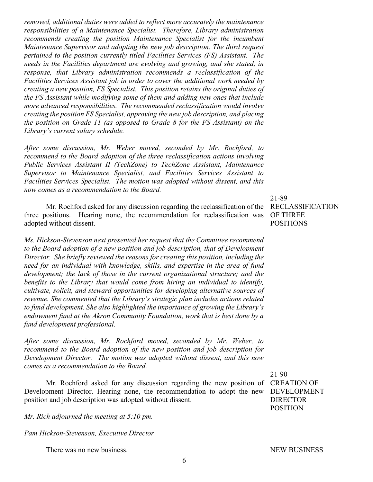*removed, additional duties were added to reflect more accurately the maintenance responsibilities of a Maintenance Specialist. Therefore, Library administration recommends creating the position Maintenance Specialist for the incumbent Maintenance Supervisor and adopting the new job description. The third request pertained to the position currently titled Facilities Services (FS) Assistant. The needs in the Facilities department are evolving and growing, and she stated, in response, that Library administration recommends a reclassification of the Facilities Services Assistant job in order to cover the additional work needed by creating a new position, FS Specialist. This position retains the original duties of the FS Assistant while modifying some of them and adding new ones that include more advanced responsibilities. The recommended reclassification would involve creating the position FS Specialist, approving the new job description, and placing the position on Grade 11 (as opposed to Grade 8 for the FS Assistant) on the Library's current salary schedule.*

*After some discussion, Mr. Weber moved, seconded by Mr. Rochford, to recommend to the Board adoption of the three reclassification actions involving Public Services Assistant II (TechZone) to TechZone Assistant, Maintenance Supervisor to Maintenance Specialist, and Facilities Services Assistant to Facilities Services Specialist. The motion was adopted without dissent, and this now comes as a recommendation to the Board.*

Mr. Rochford asked for any discussion regarding the reclassification of the RECLASSIFICATION three positions. Hearing none, the recommendation for reclassification was OF THREE adopted without dissent.

*Ms. Hickson-Stevenson next presented her request that the Committee recommend to the Board adoption of a new position and job description, that of Development Director. She briefly reviewed the reasons for creating this position, including the need for an individual with knowledge, skills, and expertise in the area of fund development; the lack of those in the current organizational structure; and the benefits to the Library that would come from hiring an individual to identify, cultivate, solicit, and steward opportunities for developing alternative sources of revenue. She commented that the Library's strategic plan includes actions related to fund development. She also highlighted the importance of growing the Library's endowment fund at the Akron Community Foundation, work that is best done by a fund development professional.*

*After some discussion, Mr. Rochford moved, seconded by Mr. Weber, to recommend to the Board adoption of the new position and job description for Development Director. The motion was adopted without dissent, and this now comes as a recommendation to the Board.*

Mr. Rochford asked for any discussion regarding the new position of CREATION OF Development Director. Hearing none, the recommendation to adopt the new position and job description was adopted without dissent.

*Mr. Rich adjourned the meeting at 5:10 pm.*

*Pam Hickson-Stevenson, Executive Director*

There was no new business.

21-89 POSITIONS

21-90 DEVELOPMENT DIRECTOR POSITION